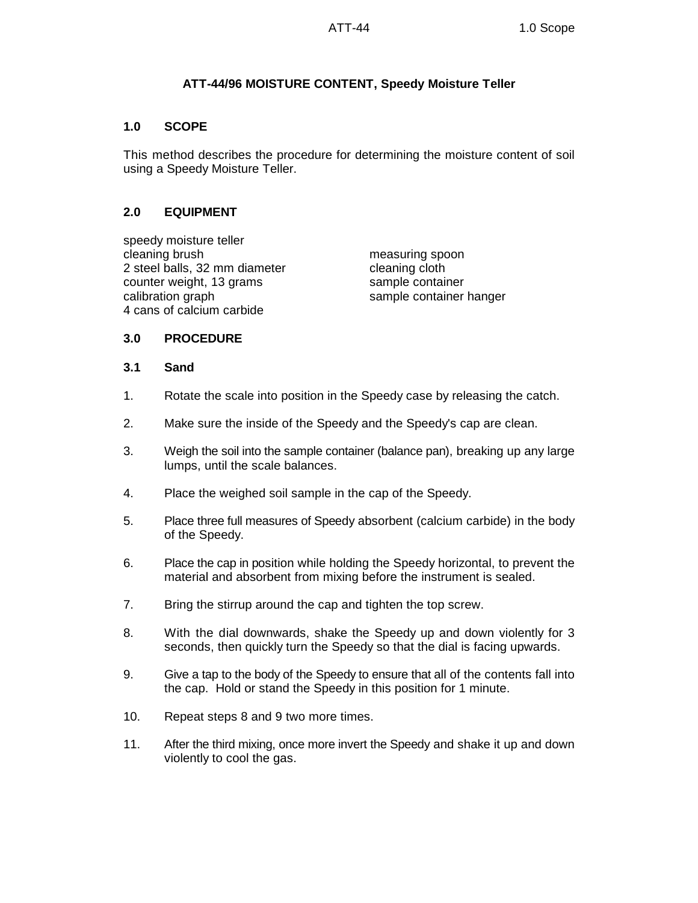# **ATT-44/96 MOISTURE CONTENT, Speedy Moisture Teller**

## **1.0 SCOPE**

This method describes the procedure for determining the moisture content of soil using a Speedy Moisture Teller.

### **2.0 EQUIPMENT**

speedy moisture teller cleaning brush measuring spoon 2 steel balls, 32 mm diameter cleaning cloth counter weight, 13 grams sample container calibration graph sample container hanger 4 cans of calcium carbide

### **3.0 PROCEDURE**

#### **3.1 Sand**

- 1. Rotate the scale into position in the Speedy case by releasing the catch.
- 2. Make sure the inside of the Speedy and the Speedy's cap are clean.
- 3. Weigh the soil into the sample container (balance pan), breaking up any large lumps, until the scale balances.
- 4. Place the weighed soil sample in the cap of the Speedy.
- 5. Place three full measures of Speedy absorbent (calcium carbide) in the body of the Speedy.
- 6. Place the cap in position while holding the Speedy horizontal, to prevent the material and absorbent from mixing before the instrument is sealed.
- 7. Bring the stirrup around the cap and tighten the top screw.
- 8. With the dial downwards, shake the Speedy up and down violently for 3 seconds, then quickly turn the Speedy so that the dial is facing upwards.
- 9. Give a tap to the body of the Speedy to ensure that all of the contents fall into the cap. Hold or stand the Speedy in this position for 1 minute.
- 10. Repeat steps 8 and 9 two more times.
- 11. After the third mixing, once more invert the Speedy and shake it up and down violently to cool the gas.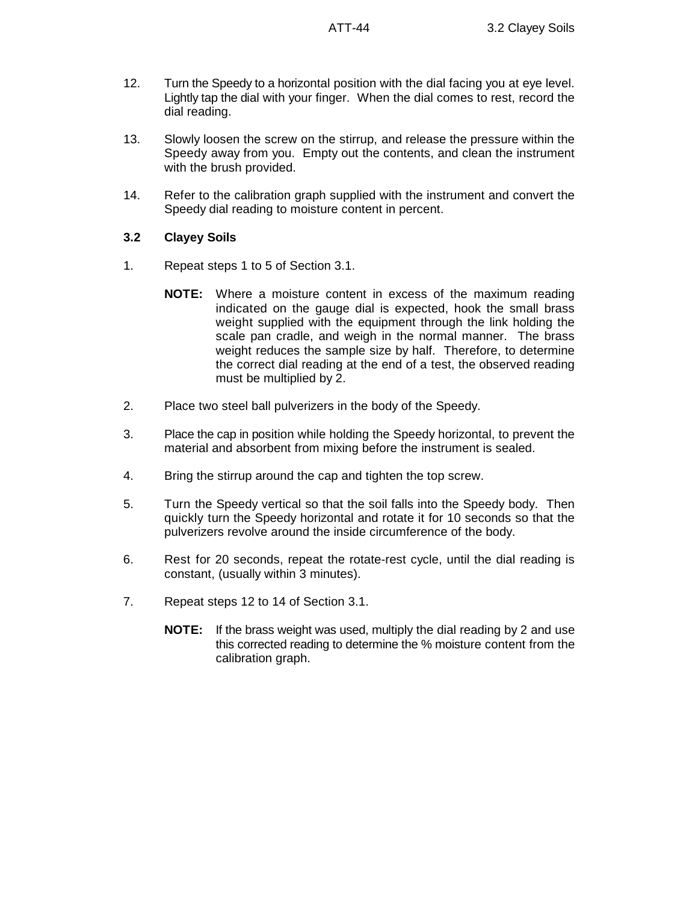- 12. Turn the Speedy to a horizontal position with the dial facing you at eye level. Lightly tap the dial with your finger. When the dial comes to rest, record the dial reading.
- 13. Slowly loosen the screw on the stirrup, and release the pressure within the Speedy away from you. Empty out the contents, and clean the instrument with the brush provided.
- 14. Refer to the calibration graph supplied with the instrument and convert the Speedy dial reading to moisture content in percent.
- **3.2 Clayey Soils**
- 1. Repeat steps 1 to 5 of Section 3.1.
	- **NOTE:** Where a moisture content in excess of the maximum reading indicated on the gauge dial is expected, hook the small brass weight supplied with the equipment through the link holding the scale pan cradle, and weigh in the normal manner. The brass weight reduces the sample size by half. Therefore, to determine the correct dial reading at the end of a test, the observed reading must be multiplied by 2.
- 2. Place two steel ball pulverizers in the body of the Speedy.
- 3. Place the cap in position while holding the Speedy horizontal, to prevent the material and absorbent from mixing before the instrument is sealed.
- 4. Bring the stirrup around the cap and tighten the top screw.
- 5. Turn the Speedy vertical so that the soil falls into the Speedy body. Then quickly turn the Speedy horizontal and rotate it for 10 seconds so that the pulverizers revolve around the inside circumference of the body.
- 6. Rest for 20 seconds, repeat the rotate-rest cycle, until the dial reading is constant, (usually within 3 minutes).
- 7. Repeat steps 12 to 14 of Section 3.1.
	- **NOTE:** If the brass weight was used, multiply the dial reading by 2 and use this corrected reading to determine the % moisture content from the calibration graph.